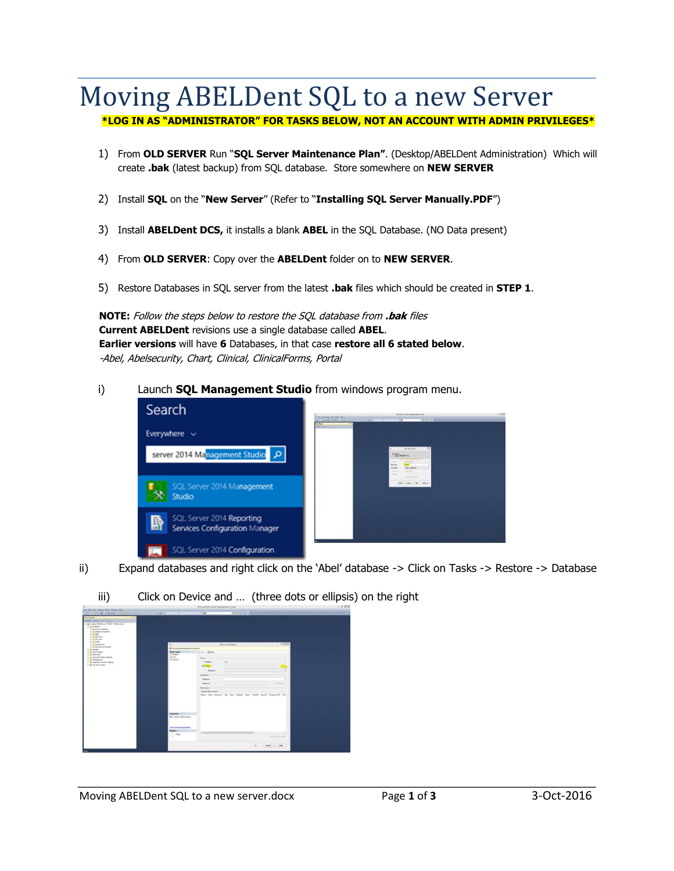### Moving ABELDent SQL to a new Server

### **\*LOG IN AS "ADMINISTRATOR" FOR TASKS BELOW, NOT AN ACCOUNT WITH ADMIN PRIVILEGES\***

- 1) From **OLD SERVER** Run "**SQL Server Maintenance Plan"**. (Desktop/ABELDent Administration) Which will create **.bak** (latest backup) from SQL database. Store somewhere on **NEW SERVER**
- 2) Install **SQL** on the "**New Server**" (Refer to "**Installing SQL Server Manually.PDF**")
- 3) Install **ABELDent DCS,** it installs a blank **ABEL** in the SQL Database. (NO Data present)
- 4) From **OLD SERVER**: Copy over the **ABELDent** folder on to **NEW SERVER**.
- 5) Restore Databases in SQL server from the latest **.bak** files which should be created in **STEP 1**.

**NOTE:** Follow the steps below to restore the SQL database from **.bak** files **Current ABELDent** revisions use a single database called **ABEL**. **Earlier versions** will have **6** Databases, in that case **restore all 6 stated below**. -Abel, Abelsecurity, Chart, Clinical, ClinicalForms, Portal

#### i) Launch **SQL Management Studio** from windows program menu.



ii) Expand databases and right click on the 'Abel' database -> Click on Tasks -> Restore -> Database



iii) Click on Device and … (three dots or ellipsis) on the right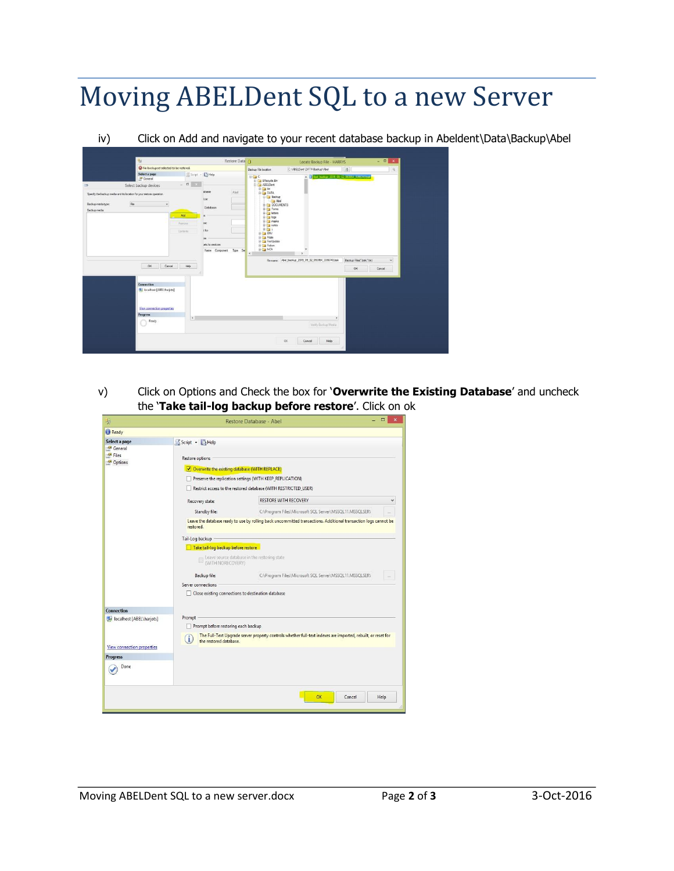# Moving ABELDent SQL to a new Server

iv) Click on Add and navigate to your recent database backup in Abeldent\Data\Backup\Abel

|                    | ×                                                                     | Restore Data  |              |                         |      |                                           | Locate Backup File - HARRYS                          |                                         | $\begin{array}{c c c c c c} \hline \dots & \Box & \Box & X \end{array}$ |  |
|--------------------|-----------------------------------------------------------------------|---------------|--------------|-------------------------|------|-------------------------------------------|------------------------------------------------------|-----------------------------------------|-------------------------------------------------------------------------|--|
|                    | A No backupset selected to be restored.                               |               |              |                         |      | Backup Rie location:                      | C.\ABELDent\DATA\Backup\Abel                         | $\vert$ $\vert$                         | $\alpha$                                                                |  |
|                    | Select a page<br><sup>C</sup> General                                 |               |              | Script - Help           |      | 日信心<br>B-C SRecycle Bin                   |                                                      | A 264 hadro 2015 05:02 03354 3556743576 |                                                                         |  |
|                    | Select backup devices                                                 |               | $= 0.000000$ |                         |      | <b>D-Call ABELDent</b><br><b>B-Ca</b> bin |                                                      |                                         |                                                                         |  |
|                    | Specify the backup media and its location for your restore operation. |               |              | abaser<br>ice:          | Abel | <b>G-Ca DATA</b><br><b>SHELL</b> Backup   |                                                      |                                         |                                                                         |  |
| Backup media type: | <b>He</b><br>$\check{\phantom{a}}$                                    |               |              |                         |      | $-$ Abel<br><b>B</b> C DOCUMENTS          |                                                      |                                         |                                                                         |  |
| Backup media       |                                                                       |               |              | Database:               |      | <b>E-Ca</b> Forms                         |                                                      |                                         |                                                                         |  |
|                    |                                                                       | Add           |              | in                      |      | <b>B-Ca letters</b><br>W-Elle loge        |                                                      |                                         |                                                                         |  |
|                    |                                                                       | <b>Bamove</b> |              | ise:                    |      | B-Cal masks<br>E-Canotes                  |                                                      |                                         |                                                                         |  |
|                    |                                                                       | Contertial    |              | e to:                   |      | 田田2                                       |                                                      |                                         |                                                                         |  |
|                    |                                                                       |               |              | lan                     |      | <b>BO EW</b><br><b>Girl Fdate</b>         |                                                      |                                         |                                                                         |  |
|                    |                                                                       |               |              | rets to restore:        |      | FeeUpdate<br>in Ca Fiction                |                                                      |                                         |                                                                         |  |
|                    |                                                                       |               |              | Name Component Type See |      | @ Ca frCA                                 |                                                      |                                         |                                                                         |  |
|                    |                                                                       |               |              |                         |      | $\epsilon$                                |                                                      | Backup Ries ("bak." tm)                 |                                                                         |  |
|                    | OK.<br>Cancel                                                         |               | Help         |                         |      |                                           | File name: Roel_beckup_2015_09_02_093954_3356743.bak |                                         | $\mathbf{v}$                                                            |  |
|                    |                                                                       |               |              |                         |      |                                           |                                                      | OK                                      | Cancel                                                                  |  |
|                    |                                                                       |               |              |                         |      |                                           |                                                      |                                         |                                                                         |  |
|                    | Connection                                                            |               |              |                         |      |                                           |                                                      |                                         |                                                                         |  |
|                    | <b>B</b> <sup>2</sup> localhost [ABEL\hanjots]                        |               |              |                         |      |                                           |                                                      |                                         |                                                                         |  |
|                    |                                                                       |               |              |                         |      |                                           |                                                      |                                         |                                                                         |  |
|                    |                                                                       |               |              |                         |      |                                           |                                                      |                                         |                                                                         |  |
|                    | View connection properties                                            |               |              |                         |      |                                           |                                                      |                                         |                                                                         |  |
|                    | <b>Progress</b>                                                       |               | $\langle$    |                         |      |                                           |                                                      | $\,$                                    |                                                                         |  |
|                    | Ready<br>w                                                            |               |              |                         |      |                                           | Verify Backup Media                                  |                                         |                                                                         |  |
|                    |                                                                       |               |              |                         |      |                                           |                                                      |                                         |                                                                         |  |
|                    |                                                                       |               |              |                         |      |                                           | OK:<br>Help<br>Cancel                                |                                         |                                                                         |  |

v) Click on Options and Check the box for '**Overwrite the Existing Database**' and uncheck the '**Take tail-log backup before restore**'. Click on ok

| Цp                                                    |                                                                                                                                                                                                     | Ξ<br>Restore Database - Abel                                                                                    | $\times$ |  |  |  |  |  |
|-------------------------------------------------------|-----------------------------------------------------------------------------------------------------------------------------------------------------------------------------------------------------|-----------------------------------------------------------------------------------------------------------------|----------|--|--|--|--|--|
| Ready                                                 |                                                                                                                                                                                                     |                                                                                                                 |          |  |  |  |  |  |
| Select a page                                         | Script - Help                                                                                                                                                                                       |                                                                                                                 |          |  |  |  |  |  |
| <sup>4</sup> General<br><sup>M</sup> Files<br>Options | Restore options<br>✔ Overwrite the existing database (WITH REPLACE)<br>Preserve the replication settings (WITH KEEP_REPLICATION)<br>Restrict access to the restored database (WITH RESTRICTED_USER) |                                                                                                                 |          |  |  |  |  |  |
|                                                       | Recovery state:                                                                                                                                                                                     | <b>RESTORE WITH RECOVERY</b>                                                                                    |          |  |  |  |  |  |
|                                                       | Standby file:                                                                                                                                                                                       | C:\Program Files\Microsoft SQL Server\MSSQL11.MSSQLSER\                                                         |          |  |  |  |  |  |
|                                                       | restored.                                                                                                                                                                                           | Leave the database ready to use by rolling back uncommitted transactions. Additional transaction logs cannot be |          |  |  |  |  |  |
|                                                       | Tail-Log backup                                                                                                                                                                                     |                                                                                                                 |          |  |  |  |  |  |
|                                                       | Take tail-log backup before restore                                                                                                                                                                 |                                                                                                                 |          |  |  |  |  |  |
|                                                       |                                                                                                                                                                                                     | Leave source database in the restoring state<br>(WITH NORECOVERY)                                               |          |  |  |  |  |  |
|                                                       | Backup file:                                                                                                                                                                                        | C:\Program Files\Microsoft SQL Server\MSSQL11.MSSQLSER\                                                         |          |  |  |  |  |  |
|                                                       | Server connections                                                                                                                                                                                  |                                                                                                                 |          |  |  |  |  |  |
|                                                       | Close existing connections to destination database                                                                                                                                                  |                                                                                                                 |          |  |  |  |  |  |
| Connection                                            |                                                                                                                                                                                                     |                                                                                                                 |          |  |  |  |  |  |
| localhost [ABEL\harjots]                              | Prompt<br>Prompt before restoring each backup                                                                                                                                                       |                                                                                                                 |          |  |  |  |  |  |
| <b>View connection properties</b>                     | the restored database.                                                                                                                                                                              | The Full-Text Upgrade server property controls whether full-text indexes are imported, rebuilt, or reset for    |          |  |  |  |  |  |
| <b>Progress</b>                                       |                                                                                                                                                                                                     |                                                                                                                 |          |  |  |  |  |  |
| Done                                                  |                                                                                                                                                                                                     |                                                                                                                 |          |  |  |  |  |  |
|                                                       |                                                                                                                                                                                                     | OK<br>Help<br>Cancel                                                                                            |          |  |  |  |  |  |